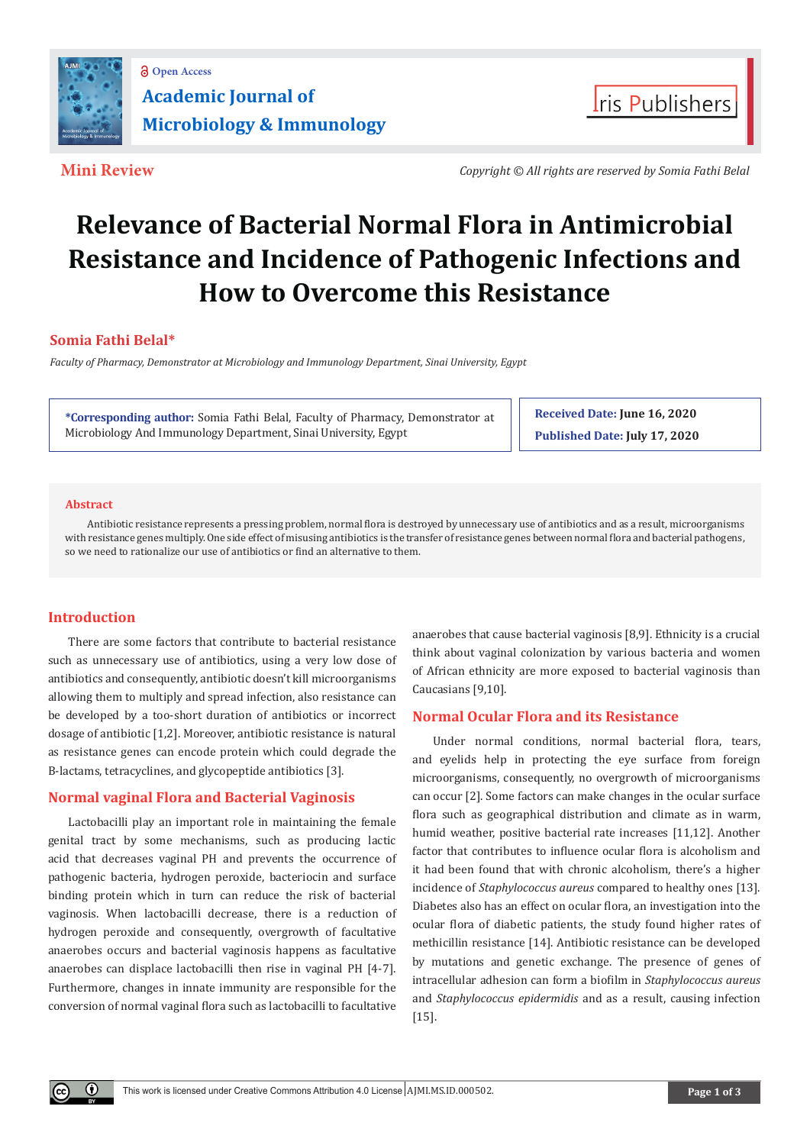

**Mini Review** *Copyright © All rights are reserved by Somia Fathi Belal*

**Iris Publishers** 

# **Relevance of Bacterial Normal Flora in Antimicrobial Resistance and Incidence of Pathogenic Infections and How to Overcome this Resistance**

# **Somia Fathi Belal\***

*Faculty of Pharmacy, Demonstrator at Microbiology and Immunology Department, Sinai University, Egypt*

**\*Corresponding author:** Somia Fathi Belal, Faculty of Pharmacy, Demonstrator at Microbiology And Immunology Department, Sinai University, Egypt

**Received Date: June 16, 2020 Published Date: July 17, 2020**

#### **Abstract**

 Antibiotic resistance represents a pressing problem, normal flora is destroyed by unnecessary use of antibiotics and as a result, microorganisms with resistance genes multiply. One side effect of misusing antibiotics is the transfer of resistance genes between normal flora and bacterial pathogens, so we need to rationalize our use of antibiotics or find an alternative to them.

# **Introduction**

Œ

There are some factors that contribute to bacterial resistance such as unnecessary use of antibiotics, using a very low dose of antibiotics and consequently, antibiotic doesn't kill microorganisms allowing them to multiply and spread infection, also resistance can be developed by a too-short duration of antibiotics or incorrect dosage of antibiotic [1,2]. Moreover, antibiotic resistance is natural as resistance genes can encode protein which could degrade the B-lactams, tetracyclines, and glycopeptide antibiotics [3].

# **Normal vaginal Flora and Bacterial Vaginosis**

Lactobacilli play an important role in maintaining the female genital tract by some mechanisms, such as producing lactic acid that decreases vaginal PH and prevents the occurrence of pathogenic bacteria, hydrogen peroxide, bacteriocin and surface binding protein which in turn can reduce the risk of bacterial vaginosis. When lactobacilli decrease, there is a reduction of hydrogen peroxide and consequently, overgrowth of facultative anaerobes occurs and bacterial vaginosis happens as facultative anaerobes can displace lactobacilli then rise in vaginal PH [4-7]. Furthermore, changes in innate immunity are responsible for the conversion of normal vaginal flora such as lactobacilli to facultative

anaerobes that cause bacterial vaginosis [8,9]. Ethnicity is a crucial think about vaginal colonization by various bacteria and women of African ethnicity are more exposed to bacterial vaginosis than Caucasians [9,10].

# **Normal Ocular Flora and its Resistance**

Under normal conditions, normal bacterial flora, tears, and eyelids help in protecting the eye surface from foreign microorganisms, consequently, no overgrowth of microorganisms can occur [2]. Some factors can make changes in the ocular surface flora such as geographical distribution and climate as in warm, humid weather, positive bacterial rate increases [11,12]. Another factor that contributes to influence ocular flora is alcoholism and it had been found that with chronic alcoholism, there's a higher incidence of *Staphylococcus aureus* compared to healthy ones [13]. Diabetes also has an effect on ocular flora, an investigation into the ocular flora of diabetic patients, the study found higher rates of methicillin resistance [14]. Antibiotic resistance can be developed by mutations and genetic exchange. The presence of genes of intracellular adhesion can form a biofilm in *Staphylococcus aureus*  and *Staphylococcus epidermidis* and as a result, causing infection [15].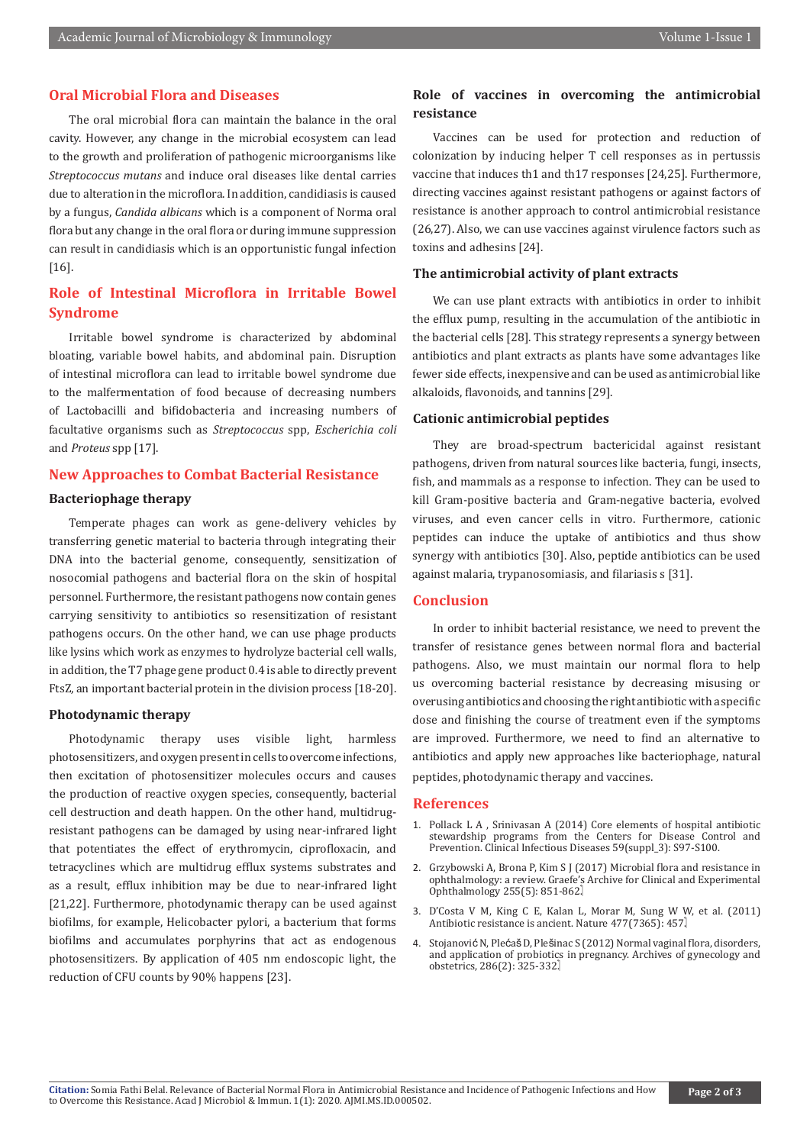# **Oral Microbial Flora and Diseases**

The oral microbial flora can maintain the balance in the oral cavity. However, any change in the microbial ecosystem can lead to the growth and proliferation of pathogenic microorganisms like *Streptococcus mutans* and induce oral diseases like dental carries due to alteration in the microflora. In addition, candidiasis is caused by a fungus, *Candida albicans* which is a component of Norma oral flora but any change in the oral flora or during immune suppression can result in candidiasis which is an opportunistic fungal infection [16].

# **Role of Intestinal Microflora in Irritable Bowel Syndrome**

Irritable bowel syndrome is characterized by abdominal bloating, variable bowel habits, and abdominal pain. Disruption of intestinal microflora can lead to irritable bowel syndrome due to the malfermentation of food because of decreasing numbers of Lactobacilli and bifidobacteria and increasing numbers of facultative organisms such as *Streptococcus* spp, *Escherichia coli*  and *Proteus* spp [17].

#### **New Approaches to Combat Bacterial Resistance**

#### **Bacteriophage therapy**

Temperate phages can work as gene-delivery vehicles by transferring genetic material to bacteria through integrating their DNA into the bacterial genome, consequently, sensitization of nosocomial pathogens and bacterial flora on the skin of hospital personnel. Furthermore, the resistant pathogens now contain genes carrying sensitivity to antibiotics so resensitization of resistant pathogens occurs. On the other hand, we can use phage products like lysins which work as enzymes to hydrolyze bacterial cell walls, in addition, the T7 phage gene product 0.4 is able to directly prevent FtsZ, an important bacterial protein in the division process [18-20].

#### **Photodynamic therapy**

Photodynamic therapy uses visible light, harmless photosensitizers, and oxygen present in cells to overcome infections, then excitation of photosensitizer molecules occurs and causes the production of reactive oxygen species, consequently, bacterial cell destruction and death happen. On the other hand, multidrugresistant pathogens can be damaged by using near-infrared light that potentiates the effect of erythromycin, ciprofloxacin, and tetracyclines which are multidrug efflux systems substrates and as a result, efflux inhibition may be due to near-infrared light [21,22]. Furthermore, photodynamic therapy can be used against biofilms, for example, Helicobacter pylori, a bacterium that forms biofilms and accumulates porphyrins that act as endogenous photosensitizers. By application of 405 nm endoscopic light, the reduction of CFU counts by 90% happens [23].

# **Role of vaccines in overcoming the antimicrobial resistance**

Vaccines can be used for protection and reduction of colonization by inducing helper T cell responses as in pertussis vaccine that induces th1 and th17 responses [24,25]. Furthermore, directing vaccines against resistant pathogens or against factors of resistance is another approach to control antimicrobial resistance (26,27). Also, we can use vaccines against virulence factors such as toxins and adhesins [24].

#### **The antimicrobial activity of plant extracts**

We can use plant extracts with antibiotics in order to inhibit the efflux pump, resulting in the accumulation of the antibiotic in the bacterial cells [28]. This strategy represents a synergy between antibiotics and plant extracts as plants have some advantages like fewer side effects, inexpensive and can be used as antimicrobial like alkaloids, flavonoids, and tannins [29].

#### **Cationic antimicrobial peptides**

They are broad-spectrum bactericidal against resistant pathogens, driven from natural sources like bacteria, fungi, insects, fish, and mammals as a response to infection. They can be used to kill Gram-positive bacteria and Gram-negative bacteria, evolved viruses, and even cancer cells in vitro. Furthermore, cationic peptides can induce the uptake of antibiotics and thus show synergy with antibiotics [30]. Also, peptide antibiotics can be used against malaria, trypanosomiasis, and filariasis s [31].

### **Conclusion**

In order to inhibit bacterial resistance, we need to prevent the transfer of resistance genes between normal flora and bacterial pathogens. Also, we must maintain our normal flora to help us overcoming bacterial resistance by decreasing misusing or overusing antibiotics and choosing the right antibiotic with a specific dose and finishing the course of treatment even if the symptoms are improved. Furthermore, we need to find an alternative to antibiotics and apply new approaches like bacteriophage, natural peptides, photodynamic therapy and vaccines.

#### **References**

- 1. [Pollack L A , Srinivasan A \(2014\) Core elements of hospital antibiotic](https://pubmed.ncbi.nlm.nih.gov/25261548/) [stewardship programs from the Centers for Disease Control and](https://pubmed.ncbi.nlm.nih.gov/25261548/) [Prevention. Clinical Infectious Diseases 59\(suppl\\_3\): S97-S100.](https://pubmed.ncbi.nlm.nih.gov/25261548/)
- 2. [Grzybowski A, Brona P, Kim S J \(2017\) Microbial flora and resistance in](https://pubmed.ncbi.nlm.nih.gov/28229218/) [ophthalmology: a review. Graefe's Archive for Clinical and Experimental](https://pubmed.ncbi.nlm.nih.gov/28229218/) Ophthalmology 255(5): 851-862.
- 3. [D'Costa V M, King C E, Kalan L, Morar M, Sung W W, et al. \(2011\)](https://pubmed.ncbi.nlm.nih.gov/21881561/) [Antibiotic resistance is ancient. Nature 477\(7365\): 457.](https://pubmed.ncbi.nlm.nih.gov/21881561/)
- 4. Stojanović N, Plećaš D, Plešinac S (2012) Normal vaginal flora, disorders, and application of probiotics in pregnancy. Archives of gynecology and obstetrics, 286(2): 325-332.